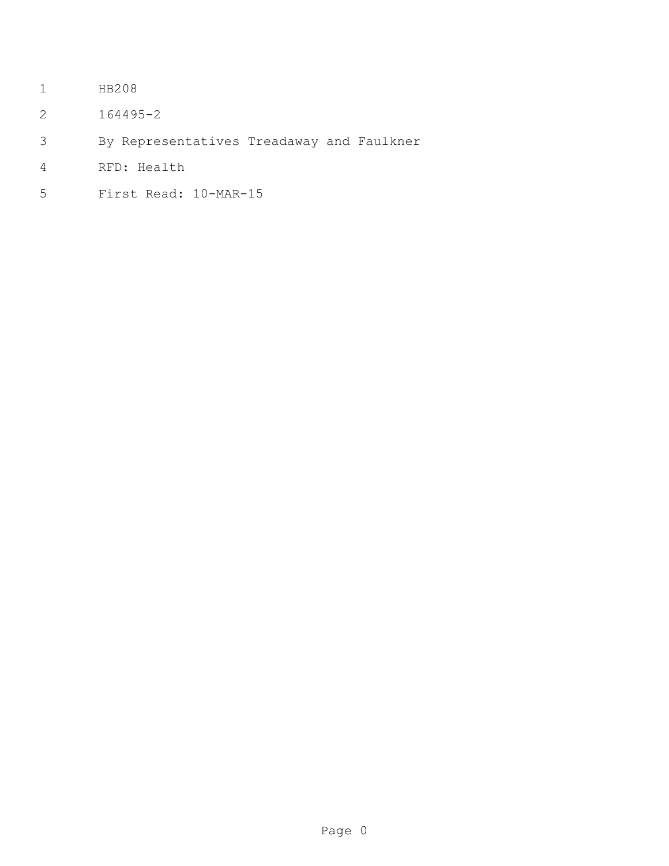- HB208
- 164495-2
- By Representatives Treadaway and Faulkner
- RFD: Health
- First Read: 10-MAR-15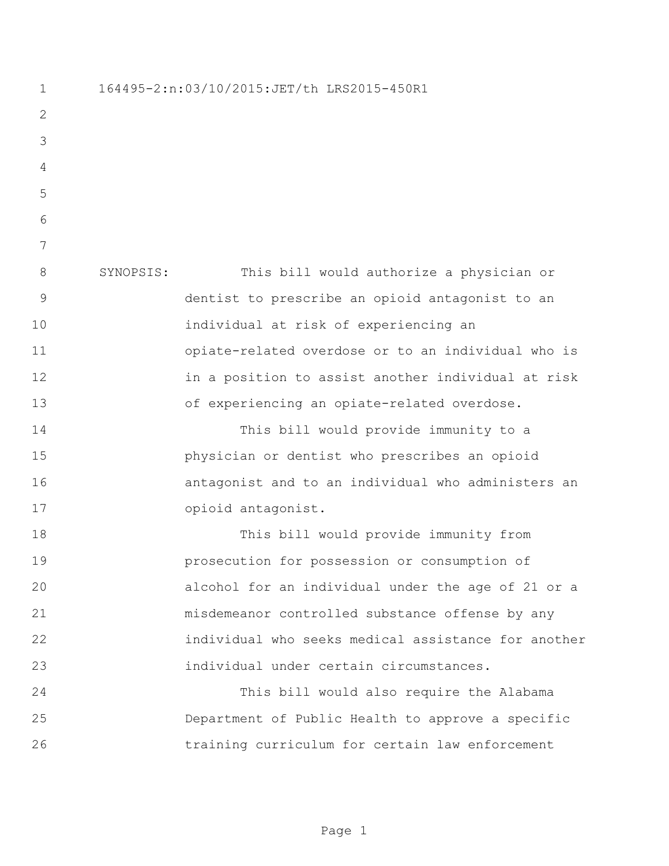164495-2:n:03/10/2015:JET/th LRS2015-450R1 SYNOPSIS: This bill would authorize a physician or dentist to prescribe an opioid antagonist to an individual at risk of experiencing an opiate-related overdose or to an individual who is in a position to assist another individual at risk of experiencing an opiate-related overdose. This bill would provide immunity to a physician or dentist who prescribes an opioid antagonist and to an individual who administers an opioid antagonist. This bill would provide immunity from prosecution for possession or consumption of alcohol for an individual under the age of 21 or a misdemeanor controlled substance offense by any individual who seeks medical assistance for another individual under certain circumstances. This bill would also require the Alabama Department of Public Health to approve a specific training curriculum for certain law enforcement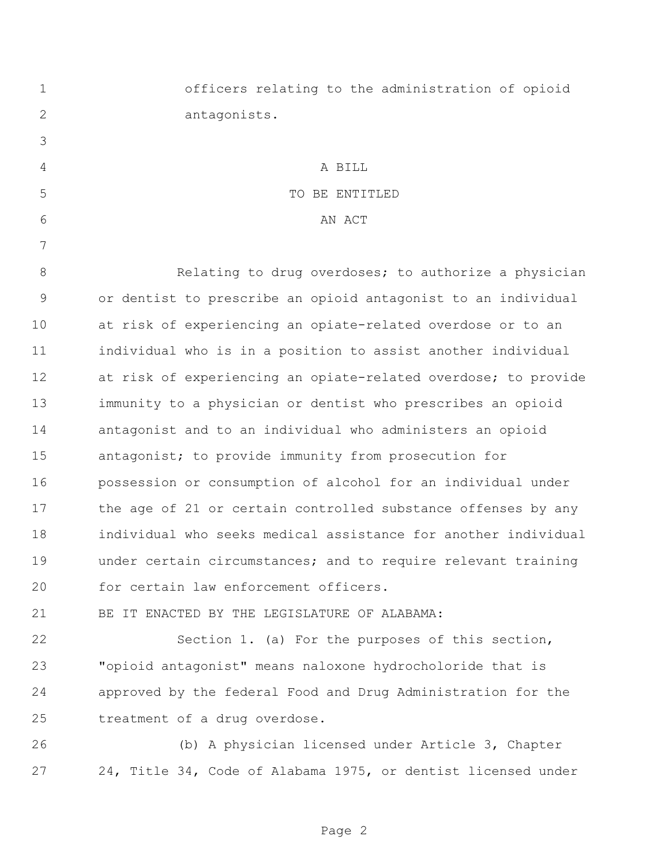| $\mathbf 1$   | officers relating to the administration of opioid              |
|---------------|----------------------------------------------------------------|
| 2             | antagonists.                                                   |
| 3             |                                                                |
| 4             | A BILL                                                         |
| 5             | TO BE ENTITLED                                                 |
| 6             | AN ACT                                                         |
| 7             |                                                                |
| 8             | Relating to drug overdoses; to authorize a physician           |
| $\mathcal{G}$ | or dentist to prescribe an opioid antagonist to an individual  |
| 10            | at risk of experiencing an opiate-related overdose or to an    |
| 11            | individual who is in a position to assist another individual   |
| 12            | at risk of experiencing an opiate-related overdose; to provide |
| 13            | immunity to a physician or dentist who prescribes an opioid    |
| 14            | antagonist and to an individual who administers an opioid      |
| 15            | antagonist; to provide immunity from prosecution for           |
| 16            | possession or consumption of alcohol for an individual under   |
| 17            | the age of 21 or certain controlled substance offenses by any  |
| 18            | individual who seeks medical assistance for another individual |
| 19            | under certain circumstances; and to require relevant training  |
| 20            | for certain law enforcement officers.                          |
| 21            | BE IT ENACTED BY THE LEGISLATURE OF ALABAMA:                   |
| 22            | Section 1. (a) For the purposes of this section,               |

 "opioid antagonist" means naloxone hydrocholoride that is approved by the federal Food and Drug Administration for the treatment of a drug overdose.

 (b) A physician licensed under Article 3, Chapter 24, Title 34, Code of Alabama 1975, or dentist licensed under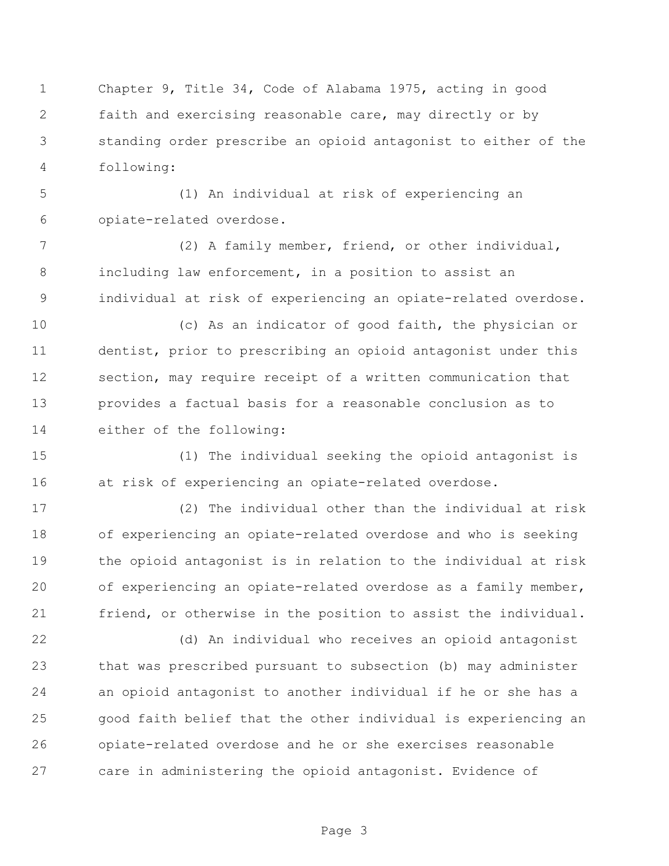Chapter 9, Title 34, Code of Alabama 1975, acting in good faith and exercising reasonable care, may directly or by standing order prescribe an opioid antagonist to either of the following:

 (1) An individual at risk of experiencing an opiate-related overdose.

 (2) A family member, friend, or other individual, including law enforcement, in a position to assist an individual at risk of experiencing an opiate-related overdose.

 (c) As an indicator of good faith, the physician or dentist, prior to prescribing an opioid antagonist under this section, may require receipt of a written communication that provides a factual basis for a reasonable conclusion as to either of the following:

 (1) The individual seeking the opioid antagonist is at risk of experiencing an opiate-related overdose.

 (2) The individual other than the individual at risk of experiencing an opiate-related overdose and who is seeking the opioid antagonist is in relation to the individual at risk of experiencing an opiate-related overdose as a family member, friend, or otherwise in the position to assist the individual.

 (d) An individual who receives an opioid antagonist that was prescribed pursuant to subsection (b) may administer an opioid antagonist to another individual if he or she has a good faith belief that the other individual is experiencing an opiate-related overdose and he or she exercises reasonable care in administering the opioid antagonist. Evidence of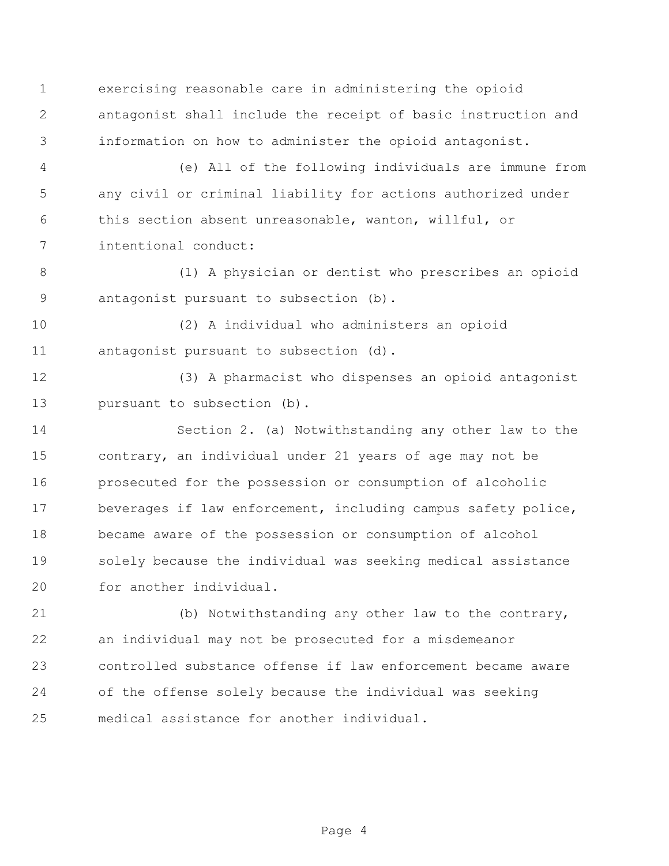exercising reasonable care in administering the opioid antagonist shall include the receipt of basic instruction and information on how to administer the opioid antagonist.

 (e) All of the following individuals are immune from any civil or criminal liability for actions authorized under this section absent unreasonable, wanton, willful, or intentional conduct:

 (1) A physician or dentist who prescribes an opioid antagonist pursuant to subsection (b).

 (2) A individual who administers an opioid antagonist pursuant to subsection (d).

 (3) A pharmacist who dispenses an opioid antagonist 13 pursuant to subsection (b).

 Section 2. (a) Notwithstanding any other law to the contrary, an individual under 21 years of age may not be prosecuted for the possession or consumption of alcoholic beverages if law enforcement, including campus safety police, became aware of the possession or consumption of alcohol solely because the individual was seeking medical assistance for another individual.

 (b) Notwithstanding any other law to the contrary, an individual may not be prosecuted for a misdemeanor controlled substance offense if law enforcement became aware of the offense solely because the individual was seeking medical assistance for another individual.